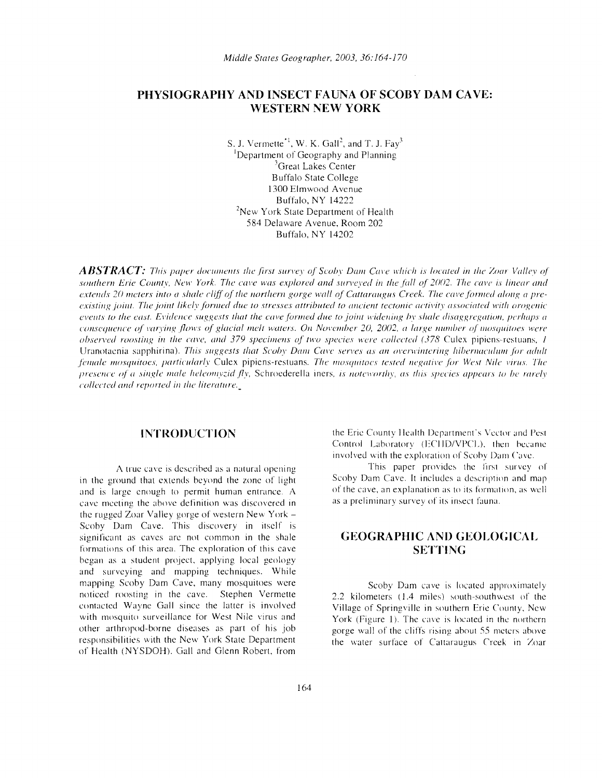# **PHYSIOGRAPHY AND INSECT FAUNA OF SCOBY DAM CAVE: WESTERN NEW YORK**

S. J. Vermette<sup> $-1$ </sup>, W. K. Gall<sup>2</sup>, and T. J. Fay<sup>3</sup> 'Department of Geography and Planning <sup>3</sup>Great Lakes Center Buffalo State College 1300 Elmwood Avenue Buffalo, NY 14222 <sup>2</sup>New York State Department of Health 584 Delaware Avenue. Room 202 Buffalo. NY 14202

*ABSTRACT: This paper documents the first survey of Scoby Dam Cave which is located in the Zoar Valley of* southern Erie County, New York. The cave was explored and surveyed in the fall of 2002. The cave is linear and extends 20 meters into a shale cliff of the northern gorge wall of Cattaraugus Creek. The cave formed along a pre*existing joint. Tile joint likclv fanned due to stresses attributed to ancient tectonic activity associated with orogenic events to tlic east. Evidence suggests that the cave funned due to joint widening bv sltalc disaggregation, prrliaps a consequence of varying flows of glacial melt waters. On November 20, 2002, a large number of mosquitoes were observed roosting in the cave, and 379 specimens of two species were collected (378 Culex pipiens-restuans, 1* Uranotaenia sapphirina). *This suggests that Scobv Dum Ca\'(' sen'e.1 as an overwintering hibcrnacuhun [or adult female mosquitoes, particularly Culex pipiens-restuans. The mosquitoes tested negative for West Nile virus. The presence of a single male heleomvzid flv, Schroederella iners, is noteworthy, as this species appears to be rarely collected and reported in the literature.* 

in the ground that extends beyond the zone of light Scoby Dam Cave. It includes a description and map<br>and is large enough to permit human entrance A of the cave, an explanation as to its formation, as well and is large enough to permit human entrance. A of the cave, an explanation as to its format<br>cave meeting the above definition was discovered in as a preliminary survey of its insect fauna. cave meeting the above definition was discovered in the rugged Zoar Valley gorge of western New York Scoby Dam Cave. This discovery in itself is significant as caves are not common in the shale **GEOGRAPHIC AND GEOLOGICAL** formations of this area. The exploration of this cave **SETTING**  began as a student project. applying local geology and surveying and mapping techniques. While mapping Scoby Dam Cave, many mosquitoes were<br>noticed roosting in the cave. Stephen Vermette  $\begin{array}{c} 2.2 \text{ kilometers} & 1.4 \text{ miles} \\ 2.2 \text{ kilometers} & 1.4 \text{ miles} \end{array}$  south-southwest of the noticed roosting in the cave. Stephen Vermette 2.2 kilometers (1.4 miles) south-southwest of the contacted Wayne Gall since the latter is involved Village of Springville in southern Frie County New contacted Wayne Gall since the latter is involved Village of Springville in southern Erie County, New<br>with mosquito surveillance for West Nile virus and Vork (Figure 1). The cave is located in the northern with mosquito surveillance for West Nile virus and York (Figure 1). The cave is located in the northern<br>other arthropod-borne diseases as part of his job other arthropod-borne diseases as part of his job gorge wall of the cliffs rising about 55 meters above<br>responsibilities with the New York State Department the water surface of Cattarangus Creek in Zoar of Health (NYSDOH). Gall and Glenn Robert, from

**INTRODUCTION the Eric County Health Department's Vector and Pest** Control Laboratory (ECHD/VPCL), then became involved with the exploration of Scoby Dam Cave.

A true cave is described as a natural opening This paper provides the first survey of natural opening This paper provides the Irst survey of natural opening Scoby Dam Cave. It includes a description and map

the water surface of Cattaraugus Creek in Zoar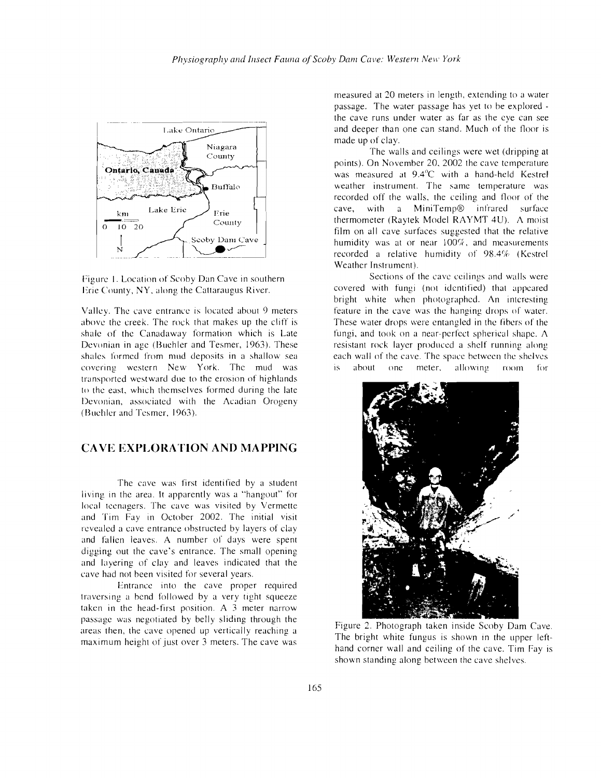

Figure I. Location of Scoby Dan Cave in southern Erie County, NY, along the Cattaraugus River.

Valley, The cave entrance is located about 9 meters above the creek. The rock that makes up the cliff is shale of the Canadaway formation which is Late Devonian in age (Buehler and Tesmer, 1963). These shales formed from mud deposits in a shallow sea covering western New York. The mud was transported westward due to the erosion of highlands to the east, which themselves formed during the late Devonian, associated with the Acadian Orogeny (Buehler and Tesmer, 1963).

### **CAVE EXPLORATION AND MAPPING**

The cave was first identified by a student living in the area, It apparently was a "hangout" for local teenagers. The cave was visited by Vermette and Tim Fay in October 2002. The initial visit revealed a cave entrance obstructed by layers of clay and fallen leaves. A number of days were spent digging out the cave's entrance. The small opening and layering of clay and leaves indicated that the cave had not been visited for several years.

Entrance into the cave proper required traversing a bend followed by a very tight squeeze taken in the head-first position. A 3 meter narrow passage was negotiated by belly sliding through the areas then, the cave opened up vertically reaching a maximum height of just over 3 meters. The cave was measured at 20 meters in length, extending to a water passage, The water passage has yet to be explored the cave runs under water as far as the eye can see and deeper than one can stand. Much of the floor is made up of clay.

The walls and ceilings were wet (dripping at points), On November 20, 2002 the cave temperature was measured at 9.4"C with a hand-held Kestrel weather instrument. The same temperature was recorded off the walls, the ceiling and floor of the cave, with a MiniTemp® infrared surface thermometer (Raytek Model RAYMT 4U). A moist film on all cave surfaces suggested that the relative humidity was at or near  $100\%$ , and measurements recorded a relative humidity of 98.4% (Kestrel Weather Instrument).

Sections of the cave ceilings and walls were covered with fungi (not identified) that appeared bright white when photographed, An interesting feature in the cave was the hanging drops of water. These water drops were entangled in the fibers of the fungi, and took on a near-perfect spherical shape. A resistant rock layer produced a shelf running along each wall of the cave. The space between the shelves is about one meter, allowing room for



Figure 2. Photograph taken inside Scoby Dam Cave. The bright white fungus is shown in the upper lefthand corner wall and ceiling of the cave. Tim Fay is shown standing along between the cave shelves.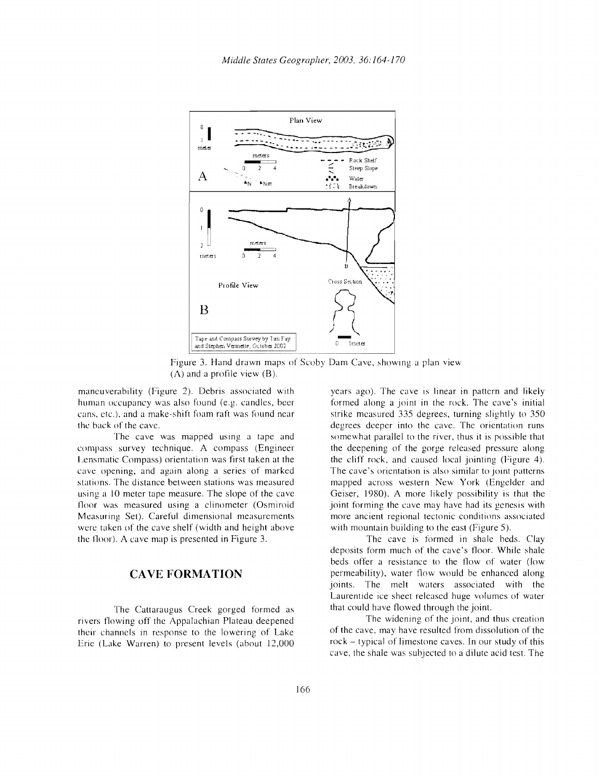

Figure 3. Hand drawn maps of Scoby Dam Cave, showing a plan view  $(A)$  and a profile view  $(B)$ .

maneuverability (Figure 2). Debris associated with human occupancy was also found (e.g. candles, beer cans, etc.), and a make-shift foam raft was found near the back of the cave.

The cave was mapped using a tape and compass survey technique. A compass (Engineer Lensmatic Compass) orientation was first taken at the cave opening, and again along a series of marked stations. The distance between stations was measured using a 10 meter tape measure. The slope of the cave floor was measured using a clinometer (Osmiroid Measuring Set). Careful dimensional measurements were taken of the cave shelf (width and height above the 110m). A cave map is presented in Figure 3.

#### CAVE **FORMATION**

The Cattaraugus Creek gorged formed as rivers flowing off the Appalachian Plateau deepened their channels in response to the lowering of Lake Erie (Lake Warren) to present levels (about 12,000

years ago). The cave is linear in pattern and likely formed along a joint in the rock. The cave's initial strike measured 335 degrees, turning slightly to 350 degrees deeper into the cave. The orientation runs somewhat parallel to the river, thus it is possible that the deepening of the gorge released pressure along the cliff rock, and caused local jointing (Figure 4). The cave's orientation is also similar to joint patterns mapped across western New York (Engelder and Geiser, 1980). A more likely possibility is that the joint forming the cave may have had its genesis with more ancient regional tectonic conditions associated with mountain building to the east (Figure 5).

The cave is formed in shale beds. Clay deposits form much of the cave's floor. While shale beds offer a resistance to the flow of water (low permeability), water flow would be enhanced along joints. The melt waters associated with the Laurentide ice sheet released huge volumes of water that could have flowed through the joint.

The widening of the joint, and thus creation of the cave, may have resulted from dissolution of the rock - typical of limestone caves. In our study of this cave, the shale was subjected to a dilute acid test. The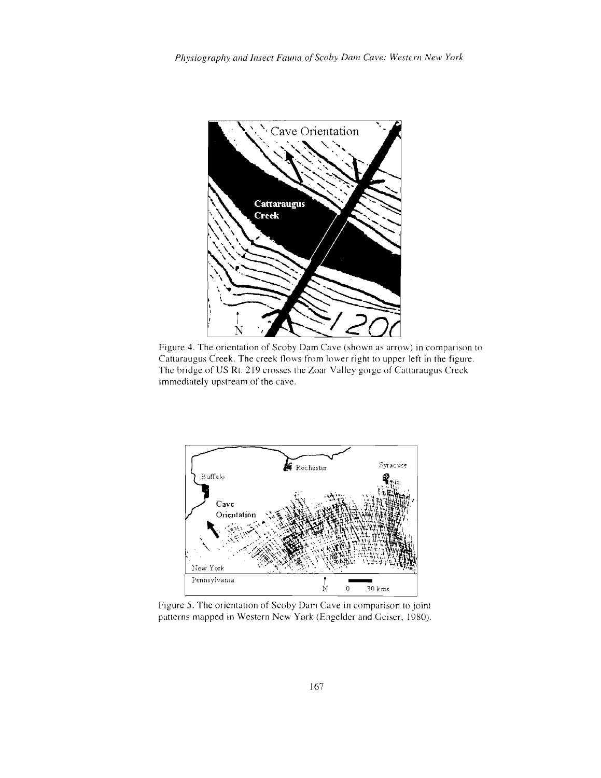

Figure 4. The orientation of Scoby Dam Cave (shown as arrow) in comparison to Cattaraugus Creek. The creek flows from lower right to upper left in the figure. The bridge of US Rt. 219 crosses the Zoar Valley gorge of Cattaraugus Creek immediately upstream of the cave.



Figure 5. The orientation of Scoby Dam Cave in comparison to joint patterns mapped in Western New York (Engelder and Geiser. 1980).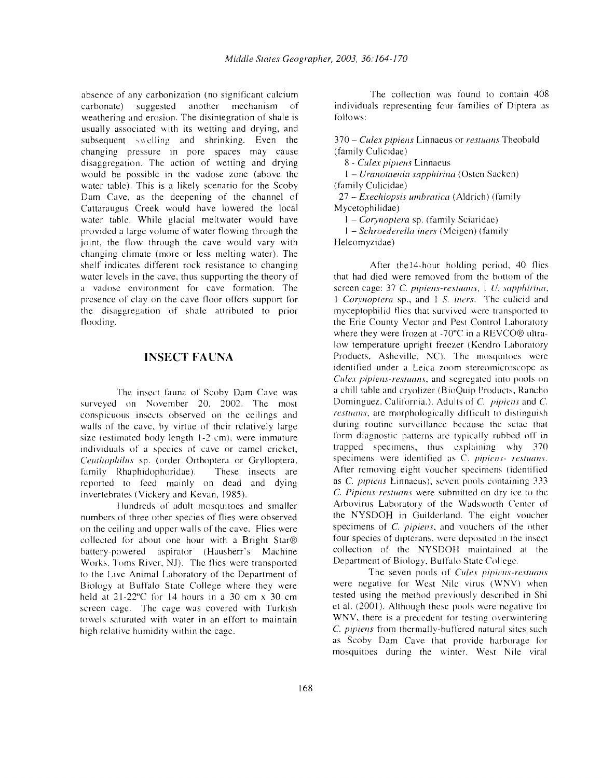absence of any carbonization (no significant calcium<br>carbonate) suggested another mechanism of carbonate) suggested another mechanism of weathering and erosion. The disintegration of shale is usually associated with its wetting and drying, and subsequent swelling and shrinking. Even the changing pressure in pore spaces may cause disaggregation. The action of wetting and drying would be possible in the vadose zone (above the water table). This is a likely scenario for the Scoby Dam Cave, as the deepening of the channel of Cattaraugus Creek would have lowered the local water table. While glacial meltwater would have provided a large volume of water flowing through the joint, the flow through the cave would vary with changing climate (more or less melting water). The shelf indicates different rock resistance to changing water levels in the cave, thus supporting the theory of a vadose environment for cave formation. The presence of clay on the cave tloor offers support for the disaggregation of shale attributed to prior flooding.

## **INSECT FA UNA**

The insect fauna of Scoby Dam Cave was surveyed on November 20, 2002. The most conspicuous insects observed on the ceilings and walls of thc cave, by virtue of their relatively large size (estimated body length 1-2 cm), were immature individuals of a species of cave or camel cricket, *Ceutliaphilus* sp. (order Orthoptera or Grylloptera, family Rhaphidophoridae). These insects are reported to feed mainly on dead and dying invertebrates (Vickery and Kevan, 1985).

JIundreds of adult mosquitoes and smaller numbers of three other species of flies were observed on the ceiling and upper walls of the cave. Flies were collected for about one hour with a Bright Star® battery-powered aspirator (Hausherr's Machine Works, Toms River, NJ). The flies were transported to the Live Animal Laboratory of the Department of Biology at Buffalo State College where they were held at 21-22"C for 14 hours in a 30 em x 30 em screen cage. The cage was covered with Turkish towels saturated with water in an effort to maintain high relative humidity within the cage.

The collection was found to contain 408 individuals representing four families of Diptera as follows:

370 - *Culex pipiens* Linnaeus or *restuans* Theobald (family Culicidae)

8 - *Culex pipiens* Linnaeus

1 - *Uranotaeuia sapphirina* (Osten Sackcn) (family Culicidae)

27 - *Exechiopsis umbratica* (Aldrich) (family Mycetophilidae)

1 - *Corynoptera* sp, (family Sciaridac)

1 - *Schroederella iners* (Meigcn) (family Heleomyzidae)

After the14-hour holding period, 40 flies that had died were removed from the bottom of the screen cage: 37 C. *pipiens-restuans,* I *U. sapphirina,*  1 *Corynoptera* sp., and 1 *S. tncrs.* The culicid and myceptophilid flies that survived were transported to the Erie County Vector and Pest Control Laboratory where they were frozen at -70°C in a REVCO® ultralow temperature upright freezer (Kendro Laboratory Products, Asheville. NC). The mosquitoes were identified under a Leica zoom stereomicroscope as *Culex pipiens-restuans,* and segregated into pools on a chill table and cryolizer (BioQuip Products, Rancho Dominguez. California.). Adults of C. *pipicus* and C. *restuans,* are morphologically difficult to distinguish during routine surveillance because the setae that form diagnostic patterns arc typically rubbed off in trapped specimens, thus explaining why  $370$ specimens were identified as C. *pipiens- restuans*. After removing eight voucher specimens (identified as C. pipiens Linnaeus), seven pools containing 333 c. *Pipiens-restuans* were submitted on dry ice to the Arbovirus Laboratory of the Wadsworth Center of the NYSDOH in Guilderland. The eight voucher specimens of C. *pipicus,* and vouchers of the other four species of dipterans, were deposited in the insect collection of the NYSDOH maintained at the Department of Biology, Buffalo State College.

The seven pools of *Culex pipicus-rcstuuus*  were negative for West Nile virus (WNV) when tested using the method previously described in Shi et al. (2001). Although these pools were negative for WNV, there is a precedent for testing overwintering C. *pipiens* from thermally-buffered natural sites such as Scoby Dam Cave that provide harborage for mosquitoes during the winter. West Nile viral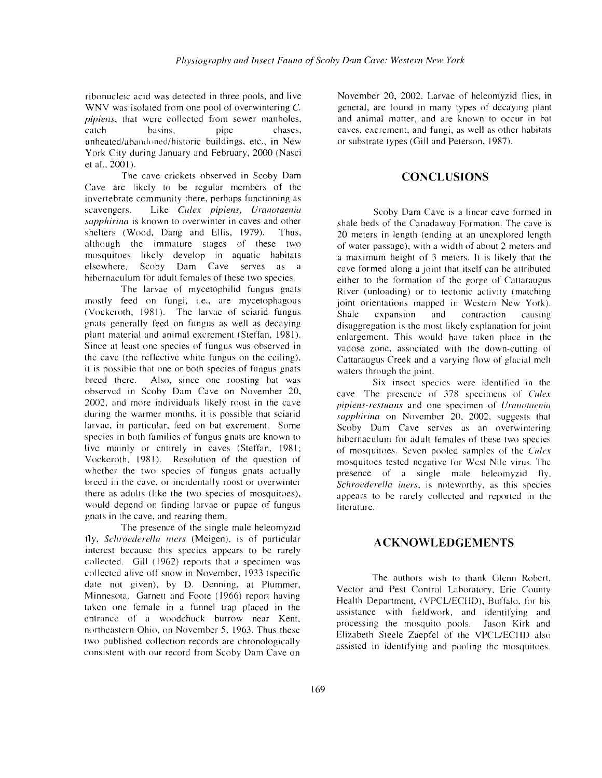ribonucleic acid was detected in three pools, and live WNV was isolated from one pool of overwintering C. pipiens, that were collected from sewer manholes,<br>catch basins, pipe chases, catch basins, pipe chases, unheated/abandoned/historic buildings, etc., in New York City during January and February, 2000 (Nasci et al., 200 I).

The cave crickets observed in Scoby Dam Cave are likely to be regular members of the invertebrate community there, perhaps functioning as scavengers. Like *Culex pipiens, Uranotaenia sapphirina* is known to overwinter in caves and other shelters (Wood, Dang and Ellis, 1979). Thus, although the immature stages of these two mosquitoes likely develop in aquatic habitats elsewhere, Scoby Dam Cave serves as a hibcrnaculum for adult females of these two species.

The larvae of mycetophilid fungus gnats mostly feed on fungi, i.e., are mycetophagous (Vockcroth, 1981). The larvae of sciarid fungus gnats generally feed on fungus as well as decaying plant material and animal excrement (Steffan, 1981). Since at least one species of fungus was observed in the cave (the reflective white fungus on the ceiling). it is possible that one or both species of fungus gnats breed there, Also, since one roosting bat was observed in Scoby Dam Cave on November 20, 2002. and more individuals likely roost in the cave during the warmer months, it is possible that sciarid larvae. in particular. feed on bat excrement. Some species in both families of fungus gnats are known to live mainly or entirely in caves (Steffan, 1981; Vockcroth, 1981). Resolution of the question of whether the two species of fungus gnats actually breed in the cave, or incidentally roost or overwinter there as adults (like the two species of mosquitoes), would depend on finding larvae or pupae of fungus gnats in the cave, and rearing them.

The presence of the single male heleomyzid fly, *Scliroederella iners* (Meigen), is of particular interest because this species appears to be rarely collected. Gill (1962) reports that a specimen was collected alive off snow in November, 1933 (specific date not given), by D. Denning, at Plummer, Minnesota. Garnett and Foote (1966) report having taken one female in a funnel trap placed in the entrance of a woodchuck burrow near Kent, northeastern Ohio, on November *5,* 1963. Thus these two published collection records are chronologically consistent with our record from Scoby Dam Cave on November 20, 2002. Larvae of heleomyzid flies, in general, are found in many types of decaying plant and animal matter, and are known to occur in bat caves, excrement, and fungi, as well as other habitats or substrate types (Gill and Peterson, J987).

### **CONCLUSIONS**

Scoby Dam Cave is a linear cave formed in shale beds of the Canadaway Formation. The cave is 20 meters in length (ending at an unexplored length of water passage), with a width of about 2 meters and a maximum height of 3 meters. It is likely that the cave formed along a joint that itself can be attributed either to the formation of the gorge of Cattaraugus River (unloading) or to tectonic activity (matching joint orientations mapped in Western New York). Shale expansion and contraction causing disaggregation is the most likely explanation for joint enlargement. This would have taken place in the vadose zone. associated WIth the down-cutting of Cattaraugus Creek and a varying flow of glacial mclt waters through the joint.

Six insect species were identified in the cave. The presence of 378 specimens of *Culex pipiens-restuans* and one specimen of *Uranotacnia sapphirina* on November 20. 2002. suggests that Scoby Dam Cave serves as an overwintering hibernaculurn for adult females of these two species of mosquitoes. Seven pooled samples of the *Culex* mosquitoes tested negative lor West Nile virus The presence of a single male heleomyzid fly, *Sctirocderella iners,* is noteworthy, as this species appears to be rarely collected and reported in the literature.

#### A**CKNOWLEDGElVIENTS**

The authors wish to thank Glenn Robert, Vector and Pest Control Laboratory. Erie County Health Department, (VPCL/ECHD), Buffalo, for his assistance with fieldwork, and identifying and processing the mosquito pools. Jason Kirk and Elizabeth Steele Zaepfel of the VPCL/ECHD also assisted in identifying and pooling the mosquitoes.